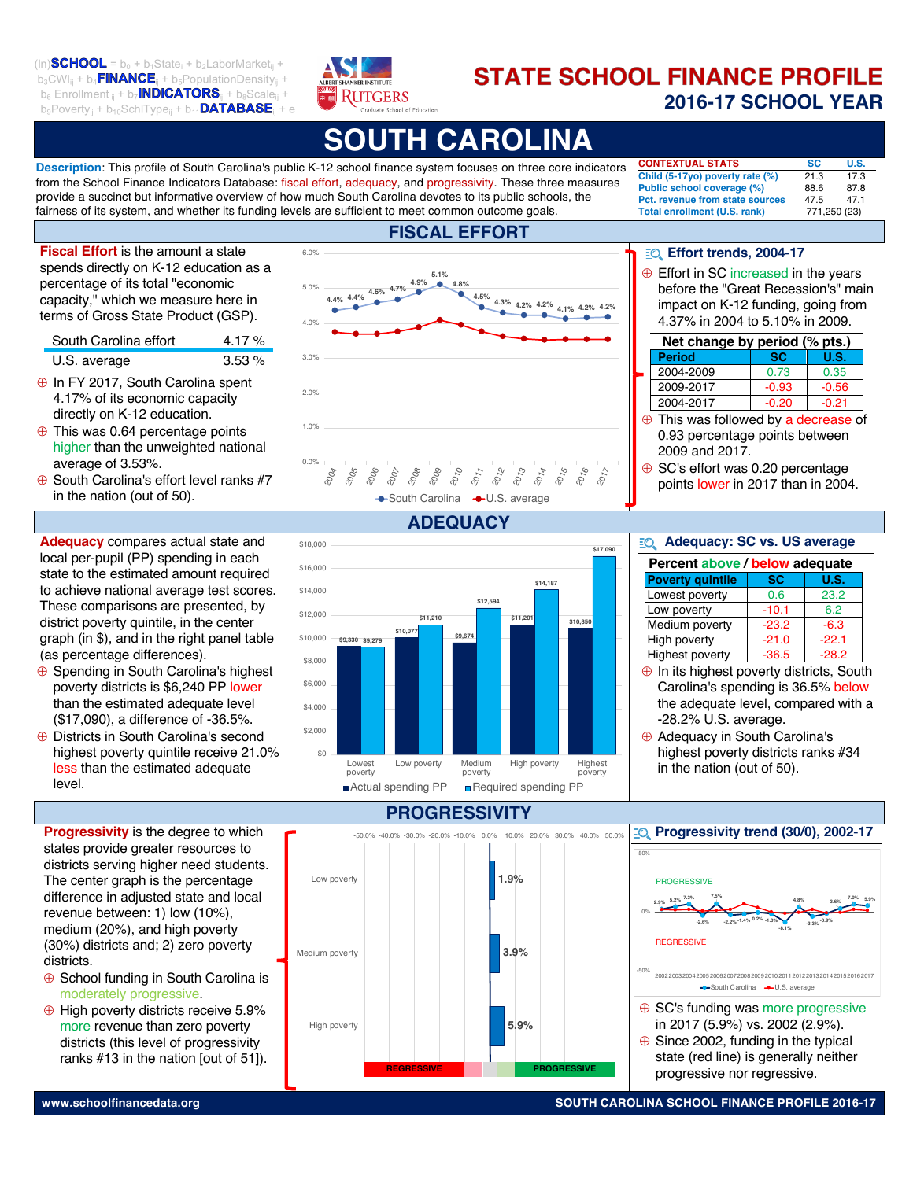$(\ln)$ SCHOOL = b<sub>0</sub> + b<sub>1</sub>State<sub>i</sub> + b<sub>2</sub>LaborMarket<sub>ii</sub> +  $b_3$ CWI<sub>ii</sub> +  $b_4$ **FINANCE**<sub>i</sub> +  $b_5$ PopulationDensity<sub>ii</sub> +  $b_6$  Enrollment  $_{ij}$  +  $b_7$ **INDICATORS** $_{ij}$  +  $b_8$ Scale $_{ij}$  +  $b_9$ Poverty<sub>ij</sub> +  $b_{10}$ SchlType<sub>ij</sub> +  $b_{11}$ **DATABASE**<sub>ij</sub> + e



# **STATE SCHOOL FINANCE PROFILE 2016-17 SCHOOL YEAR** CIS Network members hypothesize that candidates may struggle to

# **UTH CAROLINA**

**FISCAL EFFORT**

**Description**: This profile of South Carolina's public K-12 school finance system focuses on three core indicators from the School Finance Indicators Database: fiscal effort, adequacy, and progressivity. These three measures provide a succinct but informative overview of how much South Carolina devotes to its public schools, the fairness of its system, and whether its funding levels are sufficient to meet common outcome goals.

6.0%

**CONTEXTUAL STATS SC** U.S. **CONTEXTORE STATS**<br>**Child (5-17yo) poverty rate (%)** 21.3 17.3 **Public school coverage (%)** 88.6 87.8 **Pct. revenue from state sources** 47.5 47.1 Total enrollment (U.S. rank) 771,250 (23) score lowest.

**Effort trends, 2004-17** 

before the "Great Recession's" main

**Period** | SC | U.S. 2004-2009 0.73 0.35  $\frac{20012600}{2009-2017}$  -0.93 -0.56 2004-2017 | -0.20 | -0.21

 $\overline{c}$  which the science research teaching science research science research science research science research science research in  $\overline{c}$  $\overline{313}$   $\overline{172}$  $\overline{a}$  and  $\overline{a}$  and  $\overline{b}$ 47.5 47.1<br>771.250 (23)  $\overline{\phantom{a}}$   $\overline{\phantom{a}}$   $\overline{\phantom{a}}$   $\overline{\phantom{a}}$   $\overline{\phantom{a}}$   $\overline{\phantom{a}}$   $\overline{\phantom{a}}$   $\overline{\phantom{a}}$   $\overline{\phantom{a}}$   $\overline{\phantom{a}}$   $\overline{\phantom{a}}$   $\overline{\phantom{a}}$   $\overline{\phantom{a}}$   $\overline{\phantom{a}}$   $\overline{\phantom{a}}$   $\overline{\phantom{a}}$   $\overline{\phantom{a}}$   $\overline{\phantom{a}}$   $\overline{\$ 

**Net change by period (% pts.)** 

3.9%

3.9%

3.9%

 $\oplus$  Effort in SC increased in the years

assess their own performance in part because as novices, they may not know what they don't know. Candidates are still building mental models

classroom abilities. And while it is unclear from current research what magnitude of change could be considered true growth on either measure,

Teachers-candidates excellent in a ranging from behavior  $\mathbf{r}$  $\overline{0.35}$  $\overline{C}$  interactions with studies  $\overline{C}$  $\frac{1}{\sqrt{2\pi}}$  $\overline{C}$ 

 $\Box$   $\Box$   $\Box$ 

due the still shallow background was a subject.

data becomes all the more important to better capture a candidate's actual classroom abilities. And while it is unclear from current research what

data becomes all the more important to better capture a candidate's actual

impact on K-12 funding, going from 4.37% in 2004 to 5.10% in 2009.

 $\overline{\oplus}$  This was followed by a decrease of 0.93 percentage points between

suggests noveled in the three into problems as experiences as experiences as experiences as experiences as experiences as experiences as experiences as experiences as experiences as experiences as experiences as experience

**Fiscal Effort** is the amount a state spends directly on K-12 education as a percentage of its total "economic capacity," which we measure here in terms of Gross State Product (GSP).

| South Carolina effort | 4.17 $%$ |
|-----------------------|----------|
| U.S. average          | 3.53%    |

- $\oplus$  In FY 2017, South Carolina spent 4.17% of its economic capacity directly on K-12 education.
- $\oplus$  This was 0.64 percentage points higher than the unweighted national average of 3.53%.
- $\oplus$  South Carolina's effort level ranks #7 in the nation (out of 50).

**Adequacy** compares actual state and local per-pupil (PP) spending in each state to the estimated amount required to achieve national average test scores. These comparisons are presented, by district poverty quintile, in the center graph (in \$), and in the right panel table (as percentage differences).

- Å Spending in South Carolina's highest poverty districts is \$6,240 PP lower than the estimated adequate level (\$17,090), a difference of -36.5%.
- Å Districts in South Carolina's second highest poverty quintile receive 21.0% less than the estimated adequate level.

**Progressivity** is the degree to which states provide greater resources to districts serving higher need students. The center graph is the percentage difference in adjusted state and local revenue between: 1) low (10%), medium (20%), and high poverty (30%) districts and; 2) zero poverty districts.

- $\oplus$  School funding in South Carolina is moderately progressive.
- $\oplus$  High poverty districts receive 5.9% more revenue than zero poverty districts (this level of progressivity ranks #13 in the nation [out of 51]).



#### **\$9,330 \$9,279 \$10,077 \$9.674 \$11,201** \$10,8 **\$11,210 \$12,594 \$14,187 \$17,090**  $$0$ \$2,000 \$4,000 \$6,000 \$8,000 \$10,000 \$12,000 \$14,000 \$16,000 \$18,000 Lowest poverty Low poverty Medium poverty High poverty Highest poverty Actual spending PP **Required spending PP**

# **PROGRESSIVITY**

**Progressivity trend (30/0), 2002-17 E** SC's funding was more progressive in 2017 (5.9%) vs. 2002 (2.9%).  $\overline{\Theta}$  Since 2002, funding in the typical state (red line) is generally neither | progressive nor regressive. **1.9% 3.9% 5.9%** -50.0% -40.0% -30.0% -20.0% -10.0% 0.0% 10.0% 20.0% 30.0% 40.0% 50.0% Low poverty Medium poverty High poverty **REGRESSIVE PROGRESSIVE 2.9% 5.2% 7.3% -2.6% 7.5% -2.2% -1.4% 0.2% -1.0% -8.1% 4.8% -3.3% -0.9% 3.6% 7.0% 5.9%** -50% 0% 50% 2002200320042005200620072008200920102011201220132014201520162017 YWISJGSRXIRXETTVSTVMEXI XIVQMRSPSK]ERHQYPXMTPI contradict the challenges we hear many novice teachers articulate related -COLLOCOLOGICAL COLLOCOLOGICAL COLLOCOLOGICAL COLLOCOLOGICAL COLLOCOLOGICAL COLLOCOLOGICAL COLLOCOLOGICAL COLLOCOLOGICAL COLLOCOLOGICAL COLLOCOLOGICAL COLLOCOLOGICAL COLLOCOLOGICAL COLLOCOLOGICAL COLLOCOLOGICAL COLLOCOLOGI PROGRESSIVE REGRESSIVE 1 3 **3.24 3.49 3.03 3.30 3.19 3.35 3.71 3.84**  Administration 1 4IVGIRXEKITSMRXGLERKISR'0%77WGEPI Average CLASS dimension score Regard for 7XYHIRX 4IVWTIGXMZIW Content 4VSH y 1990 and 1990 and 1990 and 1990 and 1990 and 1990 and 1990 and Administration 2 % 2.4% 8LMWHMQIRWMSRIQTLEWM^IW  $5.5\%$  7.3% 7.5%  $\mathbb{Z}$ I\EQTPIWXSGSQQYRMGEXI  $E = 500$  matrix  $E = 500$ **MEGINE** classroom abilities. And while it is unclear from current research what will be above the sum of the  $\epsilon$ two as the CIS Network matures and the depth of our data matures with it. **2. Contrary to widely held concerns about classroom management, teacher in class seem to excell in classroom of the excel in classroom of the excel in classroom of the excel in classroom of the excel in classroom of the excel in classroom of the excel in classroom of the excel in clas yet they struggle to deliver rigorous instruction.**  Teacher-candidates excelled in areas ranging from behavior management to efficient use of instructional time to an absence of negativity in their interactions with students. These results at first glance seem to to classroom management. While it is possible that programs have programs have programs have programs have pro

#### magnitude of change could be considered true growth on either measure, Adequacy: SC vs. US average  $E(1)$

)<br>SSXMSREP

 $\oplus$  SC's effort was 0.20 percentage points lower in 2017 than in 2004.

 $2009$  and  $2017$ .

 $5C$  is eitort was  $0$ 

score lowest.

| Adequacy: SC vs. US average<br>EQ |           |         |
|-----------------------------------|-----------|---------|
| Percent above / below adequate    |           |         |
| <b>Poverty quintile</b>           | <b>SC</b> | U.S.    |
| Lowest poverty                    | 0.6       | 23.2    |
| Low poverty                       | $-10.1$   | 6.2     |
| Medium poverty                    | $-23.2$   | $-6.3$  |
| <b>High poverty</b>               | $-21.0$   | $-22.1$ |
| <b>Highest poverty</b>            | $-36.5$   | $-28.2$ |

 $\oplus$  In its highest poverty districts, South Carolina's spending is 36.5% below the adequate level, compared with a and decidence reports compared with a<br>-28.2% U.S. average. rparod maria assess their own performance in part because as novices, they may not  $-20.2%$  U.S. a

 $\oplus$  Adequacy in South Carolina's Adequacy in South Carolina's<br>highest poverty districts ranks #34 in the nation (out of 50).  $\mathbf{d}$ **Support** domain in which

), which is the set of  $\mathcal{S}^{\mathcal{S}}$ 

score lowest.